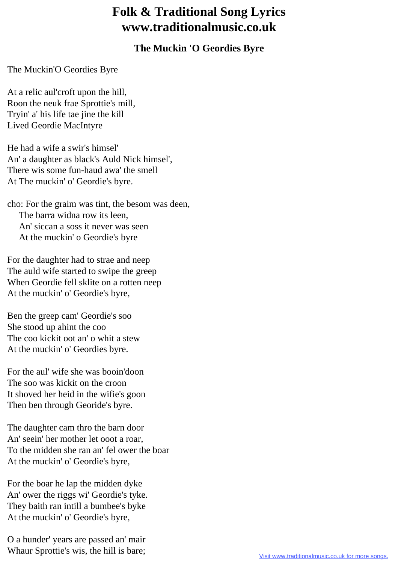## **Folk & Traditional Song Lyrics www.traditionalmusic.co.uk**

## **The Muckin 'O Geordies Byre**

## The Muckin'O Geordies Byre

At a relic aul'croft upon the hill, Roon the neuk frae Sprottie's mill, Tryin' a' his life tae jine the kill Lived Geordie MacIntyre

He had a wife a swir's himsel' An' a daughter as black's Auld Nick himsel', There wis some fun-haud awa' the smell At The muckin' o' Geordie's byre.

cho: For the graim was tint, the besom was deen, The barra widna row its leen, An' siccan a soss it never was seen At the muckin' o Geordie's byre

For the daughter had to strae and neep The auld wife started to swipe the greep When Geordie fell sklite on a rotten neep At the muckin' o' Geordie's byre,

Ben the greep cam' Geordie's soo She stood up ahint the coo The coo kickit oot an' o whit a stew At the muckin' o' Geordies byre.

For the aul' wife she was booin'doon The soo was kickit on the croon It shoved her heid in the wifie's goon Then ben through Georide's byre.

The daughter cam thro the barn door An' seein' her mother let ooot a roar, To the midden she ran an' fel ower the boar At the muckin' o' Geordie's byre,

For the boar he lap the midden dyke An' ower the riggs wi' Geordie's tyke. They baith ran intill a bumbee's byke At the muckin' o' Geordie's byre,

O a hunder' years are passed an' mair Whaur Sprottie's wis, the hill is bare;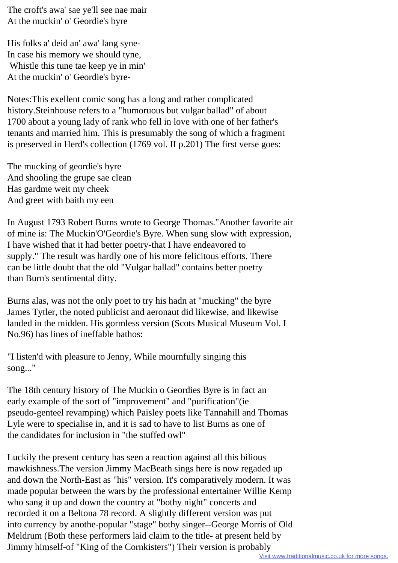The croft's awa' sae ye'll see nae mair At the muckin' o' Geordie's byre

His folks a' deid an' awa' lang syne-In case his memory we should tyne, Whistle this tune tae keep ye in min' At the muckin' o' Geordie's byre-

Notes:This exellent comic song has a long and rather complicated history.Steinhouse refers to a "humoruous but vulgar ballad" of about 1700 about a young lady of rank who fell in love with one of her father's tenants and married him. This is presumably the song of which a fragment is preserved in Herd's collection (1769 vol. II p.201) The first verse goes:

The mucking of geordie's byre And shooling the grupe sae clean Has gardme weit my cheek And greet with baith my een

In August 1793 Robert Burns wrote to George Thomas."Another favorite air of mine is: The Muckin'O'Geordie's Byre. When sung slow with expression, I have wished that it had better poetry-that I have endeavored to supply." The result was hardly one of his more felicitous efforts. There can be little doubt that the old "Vulgar ballad" contains better poetry than Burn's sentimental ditty.

Burns alas, was not the only poet to try his hadn at "mucking" the byre James Tytler, the noted publicist and aeronaut did likewise, and likewise landed in the midden. His gormless version (Scots Musical Museum Vol. I No.96) has lines of ineffable bathos:

"I listen'd with pleasure to Jenny, While mournfully singing this song..."

The 18th century history of The Muckin o Geordies Byre is in fact an early example of the sort of "improvement" and "purification"(ie pseudo-genteel revamping) which Paisley poets like Tannahill and Thomas Lyle were to specialise in, and it is sad to have to list Burns as one of the candidates for inclusion in "the stuffed owl"

Luckily the present century has seen a reaction against all this bilious mawkishness.The version Jimmy MacBeath sings here is now regaded up and down the North-East as "his" version. It's comparatively modern. It was made popular between the wars by the professional entertainer Willie Kemp who sang it up and down the country at "bothy night" concerts and recorded it on a Beltona 78 record. A slightly different version was put into currency by anothe-popular "stage" bothy singer--George Morris of Old Meldrum (Both these performers laid claim to the title- at present held by Jimmy himself-of "King of the Cornkisters") Their version is probably